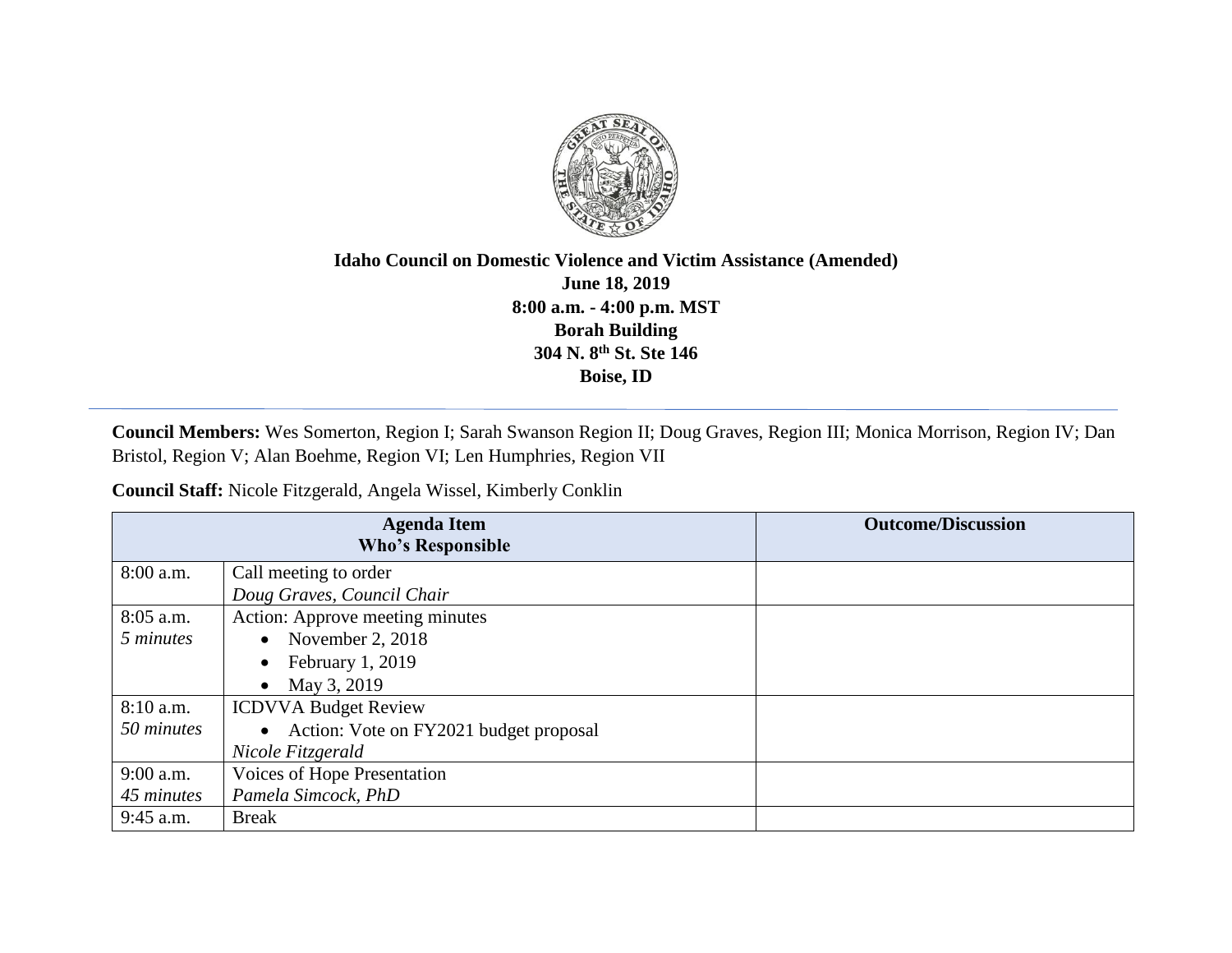

## **Idaho Council on Domestic Violence and Victim Assistance (Amended) June 18, 2019 8:00 a.m. - 4:00 p.m. MST Borah Building 304 N. 8th St. Ste 146 Boise, ID**

**Council Members:** Wes Somerton, Region I; Sarah Swanson Region II; Doug Graves, Region III; Monica Morrison, Region IV; Dan Bristol, Region V; Alan Boehme, Region VI; Len Humphries, Region VII

**Council Staff:** Nicole Fitzgerald, Angela Wissel, Kimberly Conklin

| <b>Agenda Item</b><br><b>Who's Responsible</b> |                                          | <b>Outcome/Discussion</b> |
|------------------------------------------------|------------------------------------------|---------------------------|
| $8:00$ a.m.                                    | Call meeting to order                    |                           |
|                                                | Doug Graves, Council Chair               |                           |
| $8:05$ a.m.                                    | Action: Approve meeting minutes          |                           |
| 5 minutes                                      | November 2, 2018<br>$\bullet$            |                           |
|                                                | February 1, 2019                         |                           |
|                                                | May 3, 2019                              |                           |
| $8:10$ a.m.                                    | <b>ICDVVA Budget Review</b>              |                           |
| 50 minutes                                     | • Action: Vote on FY2021 budget proposal |                           |
|                                                | Nicole Fitzgerald                        |                           |
| $9:00$ a.m.                                    | Voices of Hope Presentation              |                           |
| 45 minutes                                     | Pamela Simcock, PhD                      |                           |
| $9:45$ a.m.                                    | <b>Break</b>                             |                           |